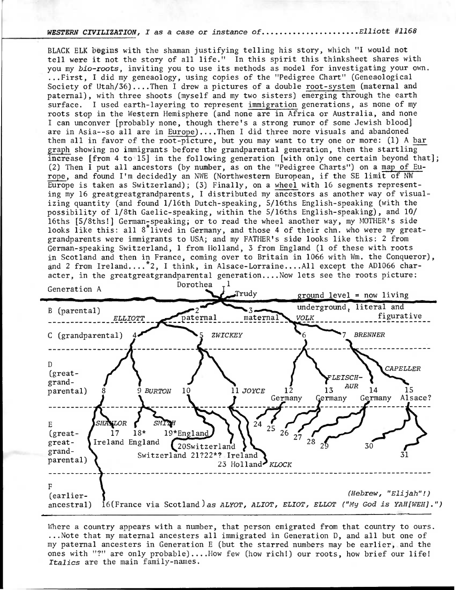WESTERN CIVILIZATION, I as a case or instance of..........................Elliott #1168

BLACK ELK begins with the shaman justifying telling his story, which "I would not tell were it not the story of all life." In this spirit this thinksheet shares with you my *bio-roots*, inviting you to use its methods as model for investigating your own. ...First, I did my geneaology, using copies of the "Pedigree Chart" (Geneaological Society of Utah/36)....Then I drew a pictures of a double root-system (maternal and paternal), with three shoots (myself and my two sisters) emerging through the earth surface. I used earth-layering to represent immigration generations, as none of my roots stop in the Western Hemisphere (and none are in Africa or Australia, and none I can unconver [probably none, though there's a strong rumor of some Jewish blood] are in Asia--so all are in Europe)....Then I did three more visuals and abandoned them all in favor of the root-picture, but you may want to try one or more: (1) A bar graph showing no immigrants before the grandparental generation, then the startling increase [from 4 to 15] in the following generation [with only one certain beyond that]; (2) Then I put all ancestors (by number, as on the "Pedigree Charts") on a map of Europe, and found I'm decidedly an NWE (Northwestern European, if the SE limit of NW Europe is taken as Switzerland); (3) Finally, on a wheel with 16 segments representing my 16 greatgreatgrandparents, I distributed my ancestors as another way of visualizing quantity (and found 1/16th Dutch-speaking, 5/16ths English-speaking (with the possibility of 1/8th Gaelic-speaking, within the 5/16ths English-speaking), and 10/ 16ths [5/8ths!] German-speaking; or to read the wheel another way, my MOTHER's side looks like this: all 8<sup>\*</sup>lived in Germany, and those 4 of their chn. who were my greatgrandparents were immigrants to USA; and my FATHER's side looks like this: 2 from German-speaking Switzerland, 1 from Holland, 3 from England (1 of these with roots in Scotland and then in France, coming over to Britain in 1066 with Wm. the Conqueror), and 2 from Ireland....<sup>\*</sup>2, I think, in Alsace-Lorraine....All except the AD1066 character, in the greatgreatgrandparental generation....Now lets see the roots picture:



Where a country appears with a number, that person emigrated from that country to ours. ...Note that my maternal ancesters all immigrated in Generation D, and all but one of my paternal ancesters in Generation E (but the starred numbers may be earlier, and the ones with "?" are only probable)....How few (how rich!) our roots, how brief our life! Italics are the main family-names.